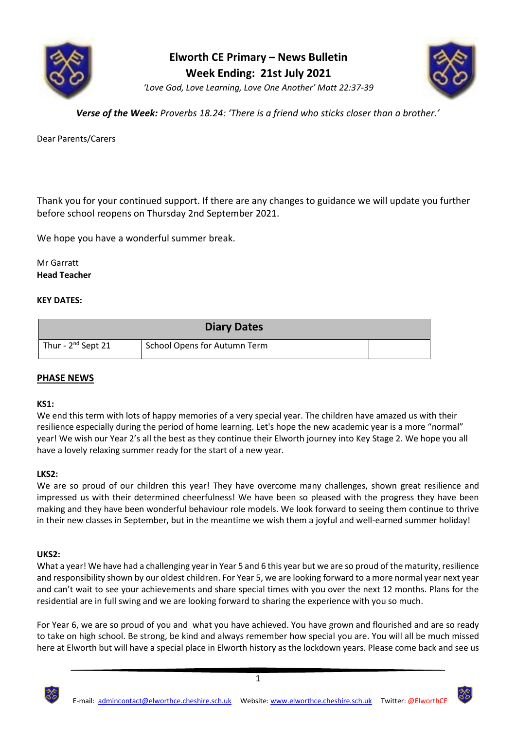

**Elworth CE Primary – News Bulletin**

**Week Ending: 21st July 2021**



*'Love God, Love Learning, Love One Another' Matt 22:37-39*

*Verse of the Week: Proverbs 18.24: 'There is a friend who sticks closer than a brother.'*

Dear Parents/Carers

Thank you for your continued support. If there are any changes to guidance we will update you further before school reopens on Thursday 2nd September 2021.

We hope you have a wonderful summer break.

Mr Garratt **Head Teacher**

## **KEY DATES:**

| <b>Diary Dates</b>      |                              |  |
|-------------------------|------------------------------|--|
| Thur - $2^{nd}$ Sept 21 | School Opens for Autumn Term |  |

## **PHASE NEWS**

## **KS1:**

We end this term with lots of happy memories of a very special year. The children have amazed us with their resilience especially during the period of home learning. Let's hope the new academic year is a more "normal" year! We wish our Year 2's all the best as they continue their Elworth journey into Key Stage 2. We hope you all have a lovely relaxing summer ready for the start of a new year.

## **LKS2:**

We are so proud of our children this year! They have overcome many challenges, shown great resilience and impressed us with their determined cheerfulness! We have been so pleased with the progress they have been making and they have been wonderful behaviour role models. We look forward to seeing them continue to thrive in their new classes in September, but in the meantime we wish them a joyful and well-earned summer holiday!

## **UKS2:**

What a year! We have had a challenging year in Year 5 and 6 this year but we are so proud of the maturity, resilience and responsibility shown by our oldest children. For Year 5, we are looking forward to a more normal year next year and can't wait to see your achievements and share special times with you over the next 12 months. Plans for the residential are in full swing and we are looking forward to sharing the experience with you so much.

For Year 6, we are so proud of you and what you have achieved. You have grown and flourished and are so ready to take on high school. Be strong, be kind and always remember how special you are. You will all be much missed here at Elworth but will have a special place in Elworth history as the lockdown years. Please come back and see us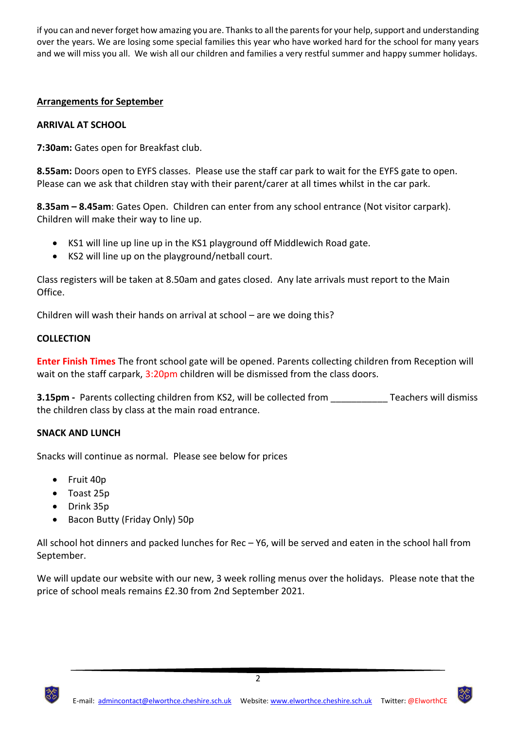if you can and never forget how amazing you are. Thanks to all the parents for your help, support and understanding over the years. We are losing some special families this year who have worked hard for the school for many years and we will miss you all. We wish all our children and families a very restful summer and happy summer holidays.

# **Arrangements for September**

# **ARRIVAL AT SCHOOL**

**7:30am:** Gates open for Breakfast club.

**8.55am:** Doors open to EYFS classes. Please use the staff car park to wait for the EYFS gate to open. Please can we ask that children stay with their parent/carer at all times whilst in the car park.

**8.35am – 8.45am**: Gates Open. Children can enter from any school entrance (Not visitor carpark). Children will make their way to line up.

- KS1 will line up line up in the KS1 playground off Middlewich Road gate.
- KS2 will line up on the playground/netball court.

Class registers will be taken at 8.50am and gates closed. Any late arrivals must report to the Main Office.

Children will wash their hands on arrival at school – are we doing this?

## **COLLECTION**

**Enter Finish Times** The front school gate will be opened. Parents collecting children from Reception will wait on the staff carpark, 3:20pm children will be dismissed from the class doors.

**3.15pm -** Parents collecting children from KS2, will be collected from Teachers will dismiss the children class by class at the main road entrance.

## **SNACK AND LUNCH**

Snacks will continue as normal. Please see below for prices

- Fruit 40p
- Toast 25p
- Drink 35p
- Bacon Butty (Friday Only) 50p

All school hot dinners and packed lunches for Rec – Y6, will be served and eaten in the school hall from September.

We will update our website with our new, 3 week rolling menus over the holidays. Please note that the price of school meals remains £2.30 from 2nd September 2021.

2